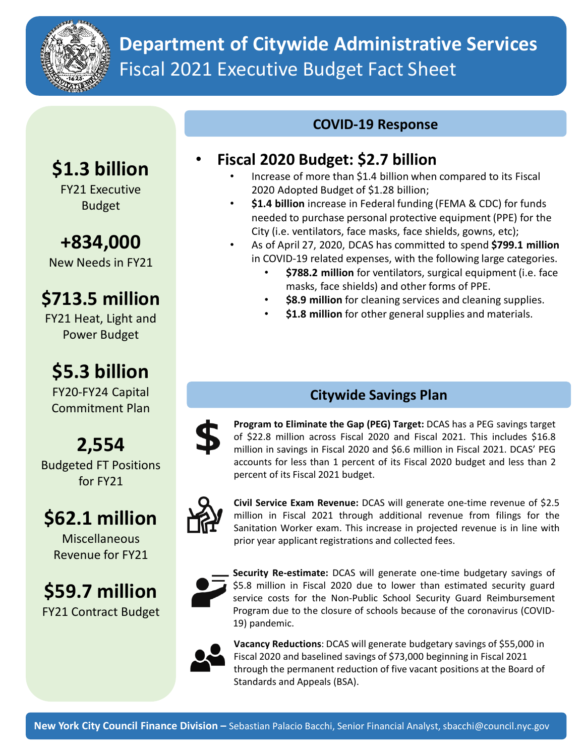

## **Department of Citywide Administrative Services** Fiscal 2021 Executive Budget Fact Sheet

#### **COVID-19 Response**

# **\$1.3 billion**

FY21 Executive Budget

### **+834,000**

New Needs in FY21

## **\$713.5 million**

FY21 Heat, Light and Power Budget

## **\$5.3 billion**

FY20-FY24 Capital Commitment Plan

## **2,554**

Budgeted FT Positions for FY21

## **\$62.1 million**

Miscellaneous Revenue for FY21

### **\$59.7 million** FY21 Contract Budget

#### • **Fiscal 2020 Budget: \$2.7 billion**

- Increase of more than \$1.4 billion when compared to its Fiscal 2020 Adopted Budget of \$1.28 billion;
- **\$1.4 billion** increase in Federal funding (FEMA & CDC) for funds needed to purchase personal protective equipment (PPE) for the City (i.e. ventilators, face masks, face shields, gowns, etc);
- As of April 27, 2020, DCAS has committed to spend **\$799.1 million**  in COVID-19 related expenses, with the following large categories.
	- **\$788.2 million** for ventilators, surgical equipment (i.e. face masks, face shields) and other forms of PPE.
	- **\$8.9 million** for cleaning services and cleaning supplies.
	- **\$1.8 million** for other general supplies and materials.

#### **Citywide Savings Plan**

**Program to Eliminate the Gap (PEG) Target:** DCAS has a PEG savings target of \$22.8 million across Fiscal 2020 and Fiscal 2021. This includes \$16.8 million in savings in Fiscal 2020 and \$6.6 million in Fiscal 2021. DCAS' PEG accounts for less than 1 percent of its Fiscal 2020 budget and less than 2 percent of its Fiscal 2021 budget.



**Civil Service Exam Revenue:** DCAS will generate one-time revenue of \$2.5 million in Fiscal 2021 through additional revenue from filings for the Sanitation Worker exam. This increase in projected revenue is in line with prior year applicant registrations and collected fees.



**Security Re-estimate:** DCAS will generate one-time budgetary savings of \$5.8 million in Fiscal 2020 due to lower than estimated security guard service costs for the Non-Public School Security Guard Reimbursement Program due to the closure of schools because of the coronavirus (COVID-19) pandemic.



**Vacancy Reductions**: DCAS will generate budgetary savings of \$55,000 in Fiscal 2020 and baselined savings of \$73,000 beginning in Fiscal 2021 through the permanent reduction of five vacant positions at the Board of Standards and Appeals (BSA).